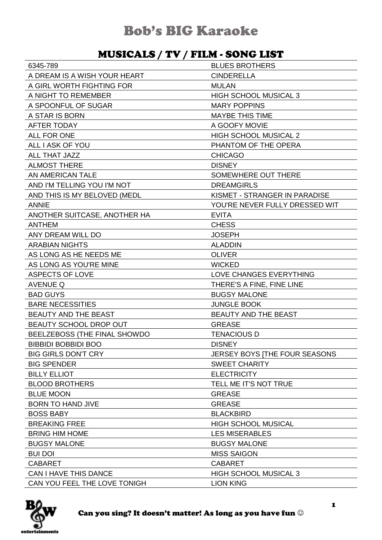#### MUSICALS / TV / FILM - SONG LIST

| 6345-789                      | <b>BLUES BROTHERS</b>          |
|-------------------------------|--------------------------------|
| A DREAM IS A WISH YOUR HEART  | <b>CINDERELLA</b>              |
| A GIRL WORTH FIGHTING FOR     | <b>MULAN</b>                   |
| A NIGHT TO REMEMBER           | <b>HIGH SCHOOL MUSICAL 3</b>   |
| A SPOONFUL OF SUGAR           | <b>MARY POPPINS</b>            |
| A STAR IS BORN                | <b>MAYBE THIS TIME</b>         |
| AFTER TODAY                   | A GOOFY MOVIE                  |
| ALL FOR ONE                   | <b>HIGH SCHOOL MUSICAL 2</b>   |
| ALL I ASK OF YOU              | PHANTOM OF THE OPERA           |
| ALL THAT JAZZ                 | <b>CHICAGO</b>                 |
| <b>ALMOST THERE</b>           | <b>DISNEY</b>                  |
| AN AMERICAN TALE              | SOMEWHERE OUT THERE            |
| AND I'M TELLING YOU I'M NOT   | <b>DREAMGIRLS</b>              |
| AND THIS IS MY BELOVED (MEDL  | KISMET - STRANGER IN PARADISE  |
| <b>ANNIE</b>                  | YOU'RE NEVER FULLY DRESSED WIT |
| ANOTHER SUITCASE, ANOTHER HA  | <b>EVITA</b>                   |
| <b>ANTHEM</b>                 | <b>CHESS</b>                   |
| ANY DREAM WILL DO             | <b>JOSEPH</b>                  |
| <b>ARABIAN NIGHTS</b>         | <b>ALADDIN</b>                 |
| AS LONG AS HE NEEDS ME        | <b>OLIVER</b>                  |
| AS LONG AS YOU'RE MINE        | <b>WICKED</b>                  |
| <b>ASPECTS OF LOVE</b>        | LOVE CHANGES EVERYTHING        |
| <b>AVENUE Q</b>               | THERE'S A FINE, FINE LINE      |
| <b>BAD GUYS</b>               | <b>BUGSY MALONE</b>            |
| <b>BARE NECESSITIES</b>       | <b>JUNGLE BOOK</b>             |
| BEAUTY AND THE BEAST          | <b>BEAUTY AND THE BEAST</b>    |
| <b>BEAUTY SCHOOL DROP OUT</b> | <b>GREASE</b>                  |
| BEELZEBOSS (THE FINAL SHOWDO  | <b>TENACIOUS D</b>             |
| <b>BIBBIDI BOBBIDI BOO</b>    | <b>DISNEY</b>                  |
| <b>BIG GIRLS DON'T CRY</b>    | JERSEY BOYS   THE FOUR SEASONS |
| <b>BIG SPENDER</b>            | <b>SWEET CHARITY</b>           |
| <b>BILLY ELLIOT</b>           | <b>ELECTRICITY</b>             |
| <b>BLOOD BROTHERS</b>         | TELL ME IT'S NOT TRUE          |
| <b>BLUE MOON</b>              | <b>GREASE</b>                  |
| <b>BORN TO HAND JIVE</b>      | <b>GREASE</b>                  |
| <b>BOSS BABY</b>              | <b>BLACKBIRD</b>               |
| <b>BREAKING FREE</b>          | <b>HIGH SCHOOL MUSICAL</b>     |
| <b>BRING HIM HOME</b>         | <b>LES MISERABLES</b>          |
| <b>BUGSY MALONE</b>           | <b>BUGSY MALONE</b>            |
| <b>BUI DOI</b>                | <b>MISS SAIGON</b>             |
| <b>CABARET</b>                | <b>CABARET</b>                 |
| <b>CAN I HAVE THIS DANCE</b>  | <b>HIGH SCHOOL MUSICAL 3</b>   |
| CAN YOU FEEL THE LOVE TONIGH  | <b>LION KING</b>               |

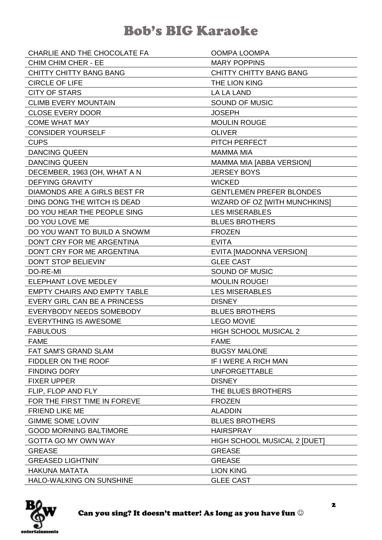| CHARLIE AND THE CHOCOLATE FA        | OOMPA LOOMPA                    |
|-------------------------------------|---------------------------------|
| <b>CHIM CHIM CHER - EE</b>          | <b>MARY POPPINS</b>             |
| <b>CHITTY CHITTY BANG BANG</b>      | <b>CHITTY CHITTY BANG BANG</b>  |
| <b>CIRCLE OF LIFE</b>               | THE LION KING                   |
| <b>CITY OF STARS</b>                | LA LA LAND                      |
| <b>CLIMB EVERY MOUNTAIN</b>         | SOUND OF MUSIC                  |
| <b>CLOSE EVERY DOOR</b>             | <b>JOSEPH</b>                   |
| <b>COME WHAT MAY</b>                | <b>MOULIN ROUGE</b>             |
| <b>CONSIDER YOURSELF</b>            | <b>OLIVER</b>                   |
| <b>CUPS</b>                         | PITCH PERFECT                   |
| <b>DANCING QUEEN</b>                | <b>MAMMA MIA</b>                |
| <b>DANCING QUEEN</b>                | MAMMA MIA [ABBA VERSION]        |
| DECEMBER, 1963 (OH, WHAT A N        | <b>JERSEY BOYS</b>              |
| <b>DEFYING GRAVITY</b>              | <b>WICKED</b>                   |
| DIAMONDS ARE A GIRLS BEST FR        | <b>GENTLEMEN PREFER BLONDES</b> |
| DING DONG THE WITCH IS DEAD         | WIZARD OF OZ [WITH MUNCHKINS]   |
| DO YOU HEAR THE PEOPLE SING         | <b>LES MISERABLES</b>           |
| DO YOU LOVE ME                      | <b>BLUES BROTHERS</b>           |
| DO YOU WANT TO BUILD A SNOWM        | <b>FROZEN</b>                   |
| DON'T CRY FOR ME ARGENTINA          | <b>EVITA</b>                    |
| DON'T CRY FOR ME ARGENTINA          | EVITA [MADONNA VERSION]         |
| DON'T STOP BELIEVIN'                | <b>GLEE CAST</b>                |
| DO-RE-MI                            | <b>SOUND OF MUSIC</b>           |
| ELEPHANT LOVE MEDLEY                | <b>MOULIN ROUGE!</b>            |
| <b>EMPTY CHAIRS AND EMPTY TABLE</b> | <b>LES MISERABLES</b>           |
| EVERY GIRL CAN BE A PRINCESS        | <b>DISNEY</b>                   |
| EVERYBODY NEEDS SOMEBODY            | <b>BLUES BROTHERS</b>           |
| <b>EVERYTHING IS AWESOME</b>        | <b>LEGO MOVIE</b>               |
| <b>FABULOUS</b>                     | <b>HIGH SCHOOL MUSICAL 2</b>    |
| <b>FAME</b>                         | <b>FAME</b>                     |
| FAT SAM'S GRAND SLAM                | <b>BUGSY MALONE</b>             |
| FIDDLER ON THE ROOF                 | IF I WERE A RICH MAN            |
| <b>FINDING DORY</b>                 | <b>UNFORGETTABLE</b>            |
| <b>FIXER UPPER</b>                  | <b>DISNEY</b>                   |
| FLIP, FLOP AND FLY                  | THE BLUES BROTHERS              |
| FOR THE FIRST TIME IN FOREVE        | <b>FROZEN</b>                   |
| <b>FRIEND LIKE ME</b>               | <b>ALADDIN</b>                  |
| <b>GIMME SOME LOVIN'</b>            | <b>BLUES BROTHERS</b>           |
| <b>GOOD MORNING BALTIMORE</b>       | <b>HAIRSPRAY</b>                |
| <b>GOTTA GO MY OWN WAY</b>          | HIGH SCHOOL MUSICAL 2 [DUET]    |
| <b>GREASE</b>                       | <b>GREASE</b>                   |
| <b>GREASED LIGHTNIN'</b>            | <b>GREASE</b>                   |
| <b>HAKUNA MATATA</b>                | <b>LION KING</b>                |
| HALO-WALKING ON SUNSHINE            | <b>GLEE CAST</b>                |

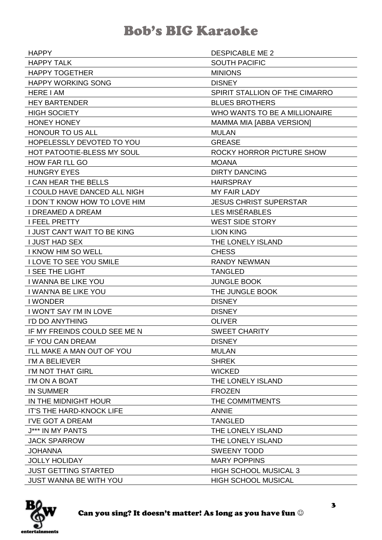| <b>HAPPY</b>                        | <b>DESPICABLE ME 2</b>         |
|-------------------------------------|--------------------------------|
| <b>HAPPY TALK</b>                   | <b>SOUTH PACIFIC</b>           |
| <b>HAPPY TOGETHER</b>               | <b>MINIONS</b>                 |
| <b>HAPPY WORKING SONG</b>           | <b>DISNEY</b>                  |
| <b>HERE I AM</b>                    | SPIRIT STALLION OF THE CIMARRO |
| <b>HEY BARTENDER</b>                | <b>BLUES BROTHERS</b>          |
| <b>HIGH SOCIETY</b>                 | WHO WANTS TO BE A MILLIONAIRE  |
| <b>HONEY HONEY</b>                  | MAMMA MIA [ABBA VERSION]       |
| <b>HONOUR TO US ALL</b>             | <b>MULAN</b>                   |
| HOPELESSLY DEVOTED TO YOU           | <b>GREASE</b>                  |
| HOT PATOOTIE-BLESS MY SOUL          | ROCKY HORROR PICTURE SHOW      |
| <b>HOW FAR I'LL GO</b>              | <b>MOANA</b>                   |
| <b>HUNGRY EYES</b>                  | <b>DIRTY DANCING</b>           |
| I CAN HEAR THE BELLS                | <b>HAIRSPRAY</b>               |
| I COULD HAVE DANCED ALL NIGH        | <b>MY FAIR LADY</b>            |
| <b>I DON'T KNOW HOW TO LOVE HIM</b> | <b>JESUS CHRIST SUPERSTAR</b>  |
| <b>I DREAMED A DREAM</b>            | LES MISÉRABLES                 |
| <b>I FEEL PRETTY</b>                | <b>WEST SIDE STORY</b>         |
| I JUST CAN'T WAIT TO BE KING        | <b>LION KING</b>               |
| <b>I JUST HAD SEX</b>               | THE LONELY ISLAND              |
| I KNOW HIM SO WELL                  | <b>CHESS</b>                   |
| I LOVE TO SEE YOU SMILE             | <b>RANDY NEWMAN</b>            |
| <b>I SEE THE LIGHT</b>              | <b>TANGLED</b>                 |
| I WANNA BE LIKE YOU                 | <b>JUNGLE BOOK</b>             |
| I WAN'NA BE LIKE YOU                | THE JUNGLE BOOK                |
| <b>I WONDER</b>                     | <b>DISNEY</b>                  |
| <b>I WON'T SAY I'M IN LOVE</b>      | <b>DISNEY</b>                  |
| I'D DO ANYTHING                     | <b>OLIVER</b>                  |
| IF MY FREINDS COULD SEE ME N        | <b>SWEET CHARITY</b>           |
| <b>IF YOU CAN DREAM</b>             | <b>DISNEY</b>                  |
| I'LL MAKE A MAN OUT OF YOU          | <b>MULAN</b>                   |
| I'M A BELIEVER                      | <b>SHREK</b>                   |
| I'M NOT THAT GIRL                   | <b>WICKED</b>                  |
| I'M ON A BOAT                       | THE LONELY ISLAND              |
| <b>IN SUMMER</b>                    | <b>FROZEN</b>                  |
| IN THE MIDNIGHT HOUR                | THE COMMITMENTS                |
| <b>IT'S THE HARD-KNOCK LIFE</b>     | <b>ANNIE</b>                   |
| I'VE GOT A DREAM                    | <b>TANGLED</b>                 |
| J*** IN MY PANTS                    | THE LONELY ISLAND              |
| <b>JACK SPARROW</b>                 | THE LONELY ISLAND              |
| <b>JOHANNA</b>                      | <b>SWEENY TODD</b>             |
| <b>JOLLY HOLIDAY</b>                | <b>MARY POPPINS</b>            |
| <b>JUST GETTING STARTED</b>         | <b>HIGH SCHOOL MUSICAL 3</b>   |
| <b>JUST WANNA BE WITH YOU</b>       | <b>HIGH SCHOOL MUSICAL</b>     |

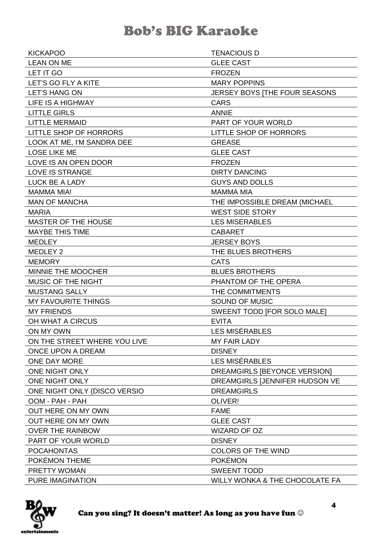| <b>KICKAPOO</b>               | <b>TENACIOUS D</b>             |
|-------------------------------|--------------------------------|
| <b>LEAN ON ME</b>             | <b>GLEE CAST</b>               |
| LET IT GO                     | <b>FROZEN</b>                  |
| LET'S GO FLY A KITE           | <b>MARY POPPINS</b>            |
| <b>LET'S HANG ON</b>          | JERSEY BOYS [THE FOUR SEASONS  |
| LIFE IS A HIGHWAY             | <b>CARS</b>                    |
| <b>LITTLE GIRLS</b>           | <b>ANNIE</b>                   |
| <b>LITTLE MERMAID</b>         | PART OF YOUR WORLD             |
| <b>LITTLE SHOP OF HORRORS</b> | <b>LITTLE SHOP OF HORRORS</b>  |
| LOOK AT ME, I'M SANDRA DEE    | <b>GREASE</b>                  |
| <b>LOSE LIKE ME</b>           | <b>GLEE CAST</b>               |
| LOVE IS AN OPEN DOOR          | <b>FROZEN</b>                  |
| LOVE IS STRANGE               | <b>DIRTY DANCING</b>           |
| LUCK BE A LADY                | <b>GUYS AND DOLLS</b>          |
| <b>MAMMA MIA!</b>             | <b>MAMMA MIA</b>               |
| <b>MAN OF MANCHA</b>          | THE IMPOSSIBLE DREAM (MICHAEL  |
| <b>MARIA</b>                  | <b>WEST SIDE STORY</b>         |
| <b>MASTER OF THE HOUSE</b>    | <b>LES MISERABLES</b>          |
| <b>MAYBE THIS TIME</b>        | <b>CABARET</b>                 |
| <b>MEDLEY</b>                 | <b>JERSEY BOYS</b>             |
| MEDLEY 2                      | THE BLUES BROTHERS             |
| <b>MEMORY</b>                 | <b>CATS</b>                    |
| MINNIE THE MOOCHER            | <b>BLUES BROTHERS</b>          |
| MUSIC OF THE NIGHT            | PHANTOM OF THE OPERA           |
| <b>MUSTANG SALLY</b>          | THE COMMITMENTS                |
| <b>MY FAVOURITE THINGS</b>    | <b>SOUND OF MUSIC</b>          |
| <b>MY FRIENDS</b>             | SWEENT TODD [FOR SOLO MALE]    |
| OH WHAT A CIRCUS              | <b>EVITA</b>                   |
| ON MY OWN                     | <b>LES MISÉRABLES</b>          |
| ON THE STREET WHERE YOU LIVE  | MY FAIR LADY                   |
| ONCE UPON A DREAM             | <b>DISNEY</b>                  |
| ONE DAY MORE                  | LES MISÉRABLES                 |
| ONE NIGHT ONLY                | DREAMGIRLS [BEYONCE VERSION]   |
| ONE NIGHT ONLY                | DREAMGIRLS [JENNIFER HUDSON VE |
| ONE NIGHT ONLY (DISCO VERSIO  | <b>DREAMGIRLS</b>              |
| OOM - PAH - PAH               | OLIVER!                        |
| OUT HERE ON MY OWN            | <b>FAME</b>                    |
| OUT HERE ON MY OWN            | <b>GLEE CAST</b>               |
| <b>OVER THE RAINBOW</b>       | <b>WIZARD OF OZ</b>            |
| PART OF YOUR WORLD            | <b>DISNEY</b>                  |
| <b>POCAHONTAS</b>             | <b>COLORS OF THE WIND</b>      |
| POKÉMON THEME                 | <b>POKÉMON</b>                 |
| PRETTY WOMAN                  | <b>SWEENT TODD</b>             |
| <b>PURE IMAGINATION</b>       | WILLY WONKA & THE CHOCOLATE FA |

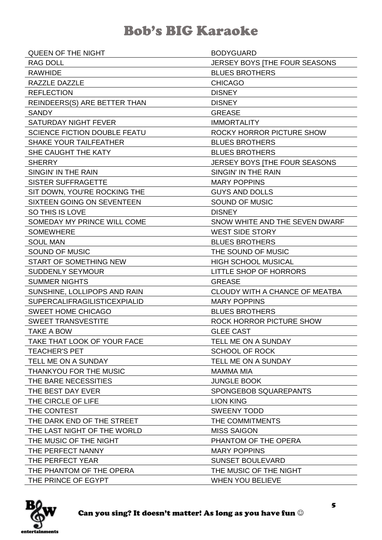| <b>QUEEN OF THE NIGHT</b>           | <b>BODYGUARD</b>               |
|-------------------------------------|--------------------------------|
| <b>RAG DOLL</b>                     | JERSEY BOYS [THE FOUR SEASONS  |
| <b>RAWHIDE</b>                      | <b>BLUES BROTHERS</b>          |
| RAZZLE DAZZLE                       | <b>CHICAGO</b>                 |
| <b>REFLECTION</b>                   | <b>DISNEY</b>                  |
| REINDEERS(S) ARE BETTER THAN        | <b>DISNEY</b>                  |
| <b>SANDY</b>                        | <b>GREASE</b>                  |
| <b>SATURDAY NIGHT FEVER</b>         | <b>IMMORTALITY</b>             |
| <b>SCIENCE FICTION DOUBLE FEATU</b> | ROCKY HORROR PICTURE SHOW      |
| <b>SHAKE YOUR TAILFEATHER</b>       | <b>BLUES BROTHERS</b>          |
| SHE CAUGHT THE KATY                 | <b>BLUES BROTHERS</b>          |
| <b>SHERRY</b>                       | JERSEY BOYS   THE FOUR SEASONS |
| SINGIN' IN THE RAIN                 | SINGIN' IN THE RAIN            |
| <b>SISTER SUFFRAGETTE</b>           | <b>MARY POPPINS</b>            |
| SIT DOWN, YOU'RE ROCKING THE        | <b>GUYS AND DOLLS</b>          |
| SIXTEEN GOING ON SEVENTEEN          | <b>SOUND OF MUSIC</b>          |
| SO THIS IS LOVE                     | <b>DISNEY</b>                  |
| SOMEDAY MY PRINCE WILL COME         | SNOW WHITE AND THE SEVEN DWARF |
| <b>SOMEWHERE</b>                    | <b>WEST SIDE STORY</b>         |
| <b>SOUL MAN</b>                     | <b>BLUES BROTHERS</b>          |
| SOUND OF MUSIC                      | THE SOUND OF MUSIC             |
| START OF SOMETHING NEW              | <b>HIGH SCHOOL MUSICAL</b>     |
| <b>SUDDENLY SEYMOUR</b>             | <b>LITTLE SHOP OF HORRORS</b>  |
| <b>SUMMER NIGHTS</b>                | <b>GREASE</b>                  |
| SUNSHINE, LOLLIPOPS AND RAIN        | CLOUDY WITH A CHANCE OF MEATBA |
| <b>SUPERCALIFRAGILISTICEXPIALID</b> | <b>MARY POPPINS</b>            |
| <b>SWEET HOME CHICAGO</b>           | <b>BLUES BROTHERS</b>          |
| <b>SWEET TRANSVESTITE</b>           | ROCK HORROR PICTURE SHOW       |
| TAKE A BOW                          | <b>GLEE CAST</b>               |
| TAKE THAT LOOK OF YOUR FACE         | TELL ME ON A SUNDAY            |
| <b>TEACHER'S PET</b>                | <b>SCHOOL OF ROCK</b>          |
| TELL ME ON A SUNDAY                 | TELL ME ON A SUNDAY            |
| THANKYOU FOR THE MUSIC              | <b>MAMMA MIA</b>               |
| THE BARE NECESSITIES                | <b>JUNGLE BOOK</b>             |
| THE BEST DAY EVER                   | SPONGEBOB SQUAREPANTS          |
| THE CIRCLE OF LIFE                  | <b>LION KING</b>               |
| THE CONTEST                         | <b>SWEENY TODD</b>             |
| THE DARK END OF THE STREET          | THE COMMITMENTS                |
| THE LAST NIGHT OF THE WORLD         | <b>MISS SAIGON</b>             |
| THE MUSIC OF THE NIGHT              | PHANTOM OF THE OPERA           |
| THE PERFECT NANNY                   | <b>MARY POPPINS</b>            |
| THE PERFECT YEAR                    | <b>SUNSET BOULEVARD</b>        |
| THE PHANTOM OF THE OPERA            | THE MUSIC OF THE NIGHT         |
| THE PRINCE OF EGYPT                 | <b>WHEN YOU BELIEVE</b>        |